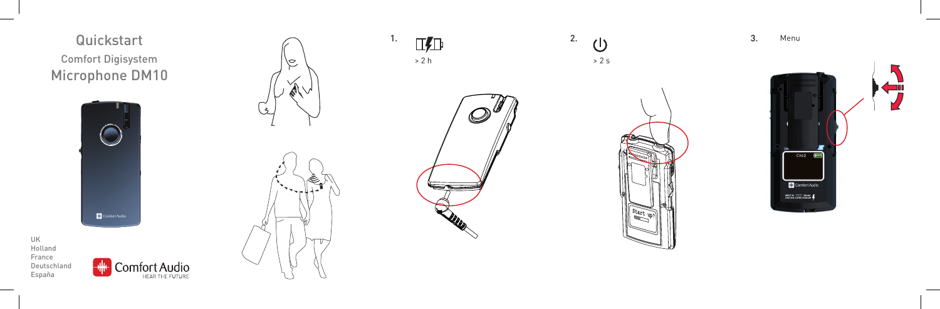Comfort Digisystem Microphone DM10

UK Holland France Deutschland España